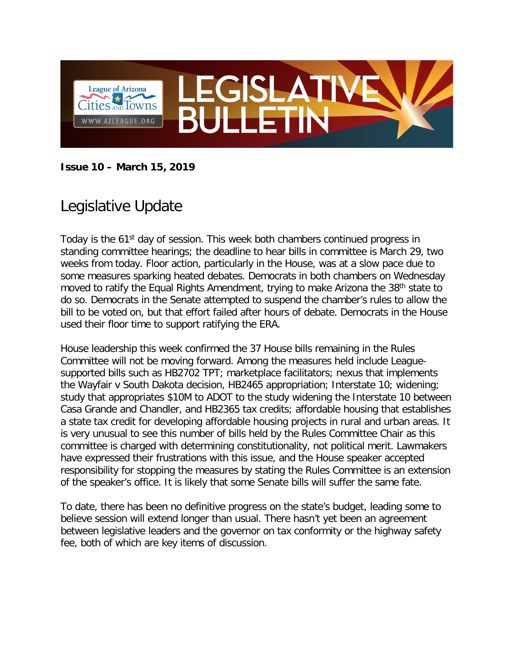

#### **Issue 10 – March 15, 2019**

# Legislative Update

Today is the 61<sup>st</sup> day of session. This week both chambers continued progress in standing committee hearings; the deadline to hear bills in committee is March 29, two weeks from today. Floor action, particularly in the House, was at a slow pace due to some measures sparking heated debates. Democrats in both chambers on Wednesday moved to ratify the Equal Rights Amendment, trying to make Arizona the 38<sup>th</sup> state to do so. Democrats in the Senate attempted to suspend the chamber's rules to allow the bill to be voted on, but that effort failed after hours of debate. Democrats in the House used their floor time to support ratifying the ERA.

House leadership this week confirmed the 37 House bills remaining in the Rules Committee will not be moving forward. Among the measures held include Leaguesupported bills such as HB2702 TPT; marketplace facilitators; nexus that implements the Wayfair v South Dakota decision, HB2465 appropriation; Interstate 10; widening; study that appropriates \$10M to ADOT to the study widening the Interstate 10 between Casa Grande and Chandler, and HB2365 tax credits; affordable housing that establishes a state tax credit for developing affordable housing projects in rural and urban areas. It is very unusual to see this number of bills held by the Rules Committee Chair as this committee is charged with determining constitutionality, not political merit. Lawmakers have expressed their frustrations with this issue, and the House speaker accepted responsibility for stopping the measures by stating the Rules Committee is an extension of the speaker's office. It is likely that some Senate bills will suffer the same fate.

To date, there has been no definitive progress on the state's budget, leading some to believe session will extend longer than usual. There hasn't yet been an agreement between legislative leaders and the governor on tax conformity or the highway safety fee, both of which are key items of discussion.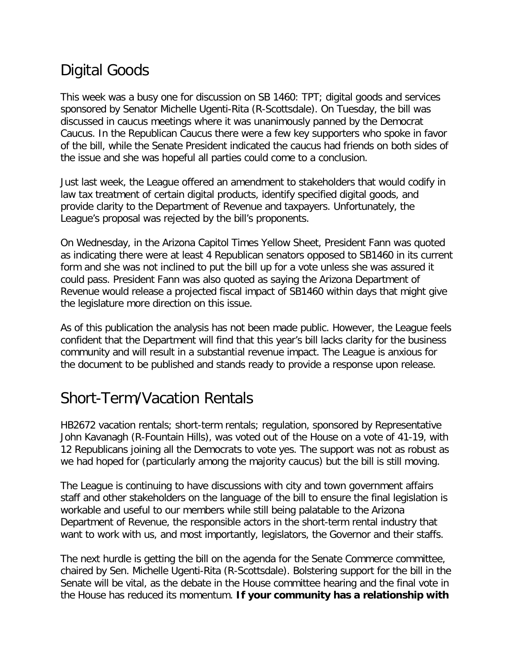# Digital Goods

This week was a busy one for discussion on SB 1460: TPT; digital goods and services sponsored by Senator Michelle Ugenti-Rita (R-Scottsdale). On Tuesday, the bill was discussed in caucus meetings where it was unanimously panned by the Democrat Caucus. In the Republican Caucus there were a few key supporters who spoke in favor of the bill, while the Senate President indicated the caucus had friends on both sides of the issue and she was hopeful all parties could come to a conclusion.

Just last week, the League offered an amendment to stakeholders that would codify in law tax treatment of certain digital products, identify specified digital goods, and provide clarity to the Department of Revenue and taxpayers. Unfortunately, the League's proposal was rejected by the bill's proponents.

On Wednesday, in the Arizona Capitol Times Yellow Sheet, President Fann was quoted as indicating there were at least 4 Republican senators opposed to SB1460 in its current form and she was not inclined to put the bill up for a vote unless she was assured it could pass. President Fann was also quoted as saying the Arizona Department of Revenue would release a projected fiscal impact of SB1460 within days that might give the legislature more direction on this issue.

As of this publication the analysis has not been made public. However, the League feels confident that the Department will find that this year's bill lacks clarity for the business community and will result in a substantial revenue impact. The League is anxious for the document to be published and stands ready to provide a response upon release.

### Short-Term/Vacation Rentals

HB2672 vacation rentals; short-term rentals; regulation, sponsored by Representative John Kavanagh (R-Fountain Hills), was voted out of the House on a vote of 41-19, with 12 Republicans joining all the Democrats to vote yes. The support was not as robust as we had hoped for (particularly among the majority caucus) but the bill is still moving.

The League is continuing to have discussions with city and town government affairs staff and other stakeholders on the language of the bill to ensure the final legislation is workable and useful to our members while still being palatable to the Arizona Department of Revenue, the responsible actors in the short-term rental industry that want to work with us, and most importantly, legislators, the Governor and their staffs.

The next hurdle is getting the bill on the agenda for the Senate Commerce committee, chaired by Sen. Michelle Ugenti-Rita (R-Scottsdale). Bolstering support for the bill in the Senate will be vital, as the debate in the House committee hearing and the final vote in the House has reduced its momentum. **If your community has a relationship with**